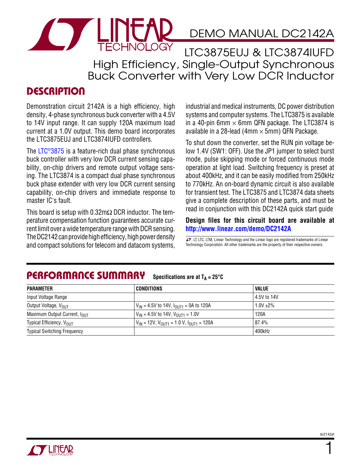

LTC3875EUJ & LTC3874IUFD High Efficiency, Single-Output Synchronous Buck Converter with Very Low DCR Inductor

## **DESCRIPTION**

Demonstration circuit 2142A is a high efficiency, high density, 4-phase synchronous buck converter with a 4.5V to 14V input range. It can supply 120A maximum load current at a 1.0V output. This demo board incorporates the LTC3875EUJ and LTC3874IUFD controllers.

The [LTC®3875](http://www.linear.com/LTC3875) is a feature-rich dual phase synchronous buck controller with very low DCR current sensing capability, on-chip drivers and remote output voltage sensing. The LTC3874 is a compact dual phase synchronous buck phase extender with very low DCR current sensing capability, on-chip drivers and immediate response to master IC's fault.

This board is setup with  $0.32 \text{m}\Omega$  DCR inductor. The temperature compensation function guarantees accurate current limit over a wide temperature range with DCR sensing. The DC2142 can provide high efficiency, high power density THE DUZ TAZ CAIT DIOVIDE HIGH ETHCHETCY, HIGH DOWET DETISILY TO THE LITC, LTM, Linear Technology and the Linear logo are registered trademarks of Linear<br>and compact solutions for telecom and datacom systems. Technology Cor

industrial and medical instruments, DC power distribution systems and computer systems. The LTC3875 is available in a 40-pin 6mm  $\times$  6mm QFN package. The LTC3874 is available in a 28-lead (4mm  $\times$  5mm) QFN Package.

To shut down the converter, set the RUN pin voltage below 1.4V (SW1: OFF). Use the JP1 jumper to select burst mode, pulse skipping mode or forced continuous mode operation at light load. Switching frequency is preset at about 400kHz, and it can be easily modified from 250kHz to 770kHz. An on-board dynamic circuit is also available for transient test. The LTC3875 and LTC3874 data sheets give a complete description of these parts, and must be read in conjunction with this DC2142A quick start guide

#### **Design files for this circuit board are available at <http://www.linear.com/demo>/DC2142A**

Technology Corporation. All other trademarks are the property of their respective owners.

#### Performance Summary Specifications are at  $T_A = 25^\circ C$

| PARAMETER                                | CONDITIONS                                                                        | VALUE        |
|------------------------------------------|-----------------------------------------------------------------------------------|--------------|
| Input Voltage Range                      |                                                                                   | 4.5V to 14V  |
| Output Voltage, V <sub>OUT</sub>         | $V_{IN}$ = 4.5V to 14V, $I_{OUT1}$ = 0A to 120A                                   | $1.0V + 2\%$ |
| Maximum Output Current, I <sub>OUT</sub> | $V_{IN}$ = 4.5V to 14V, $V_{OII}T_1$ = 1.0V                                       | 120A         |
| Typical Efficiency, V <sub>OUT</sub>     | $V_{IN}$ = 12V, $V_{OII}$ <sub>11</sub> = 1.0 V, $I_{OII}$ <sub>1111</sub> = 120A | 87.4%        |
| <b>Typical Switching Frequency</b>       |                                                                                   | 400kHz       |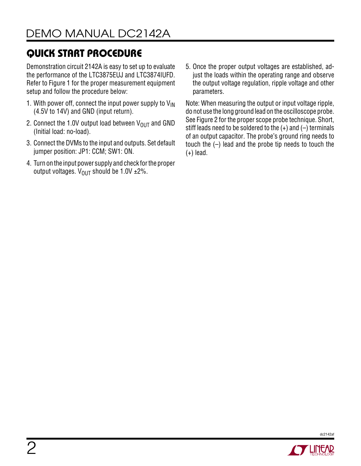Demonstration circuit 2142A is easy to set up to evaluate the performance of the LTC3875EUJ and LTC3874IUFD. Refer to Figure 1 for the proper measurement equipment setup and follow the procedure below:

- 1. With power off, connect the input power supply to  $V_{\text{IN}}$ (4.5V to 14V) and GND (input return).
- 2. Connect the 1.0V output load between  $V_{OUT}$  and GND (Initial load: no-load).
- 3. Connect the DVMs to the input and outputs. Set default jumper position: JP1: CCM; SW1: ON.
- 4. Turn on the input power supply and check for the proper output voltages.  $V_{OIII}$  should be 1.0V  $\pm$ 2%.

5. Once the proper output voltages are established, adjust the loads within the operating range and observe the output voltage regulation, ripple voltage and other parameters.

Note: When measuring the output or input voltage ripple, do not use the long ground lead on the oscilloscope probe. See Figure 2 for the proper scope probe technique. Short, stiff leads need to be soldered to the  $(+)$  and  $(-)$  terminals of an output capacitor. The probe's ground ring needs to touch the (–) lead and the probe tip needs to touch the (+) lead.



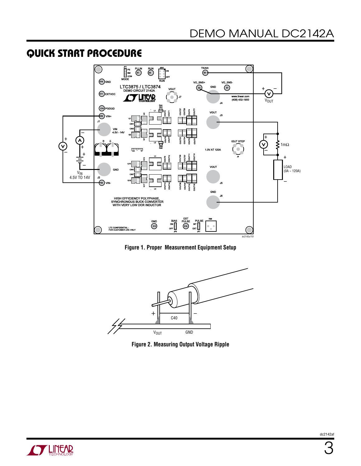

**Figure 1. Proper Measurement Equipment Setup**



**Figure 2. Measuring Output Voltage Ripple** 

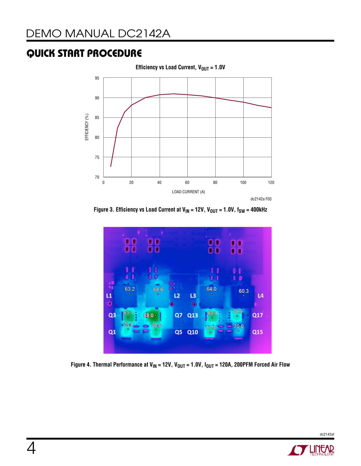

Figure 3. Efficiency vs Load Current at V<sub>IN</sub> = 12V, V<sub>OUT</sub> = 1.0V, f<sub>SW</sub> = 400kHz



Figure 4. Thermal Performance at V<sub>IN</sub> = 12V, V<sub>OUT</sub> = 1.0V, I<sub>OUT</sub> = 120A, 200PFM Forced Air Flow

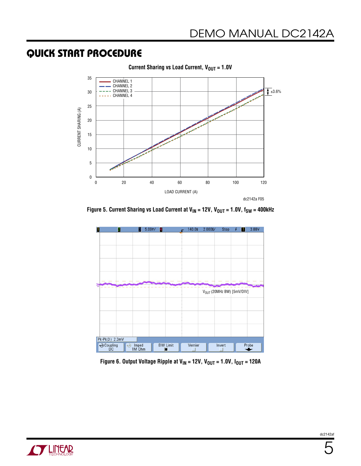

Figure 5. Current Sharing vs Load Current at V<sub>IN</sub> = 12V, V<sub>OUT</sub> = 1.0V, f<sub>SW</sub> = 400kHz



Figure 6. Output Voltage Ripple at V<sub>IN</sub> = 12V, V<sub>OUT</sub> = 1.0V, I<sub>OUT</sub> = 120A

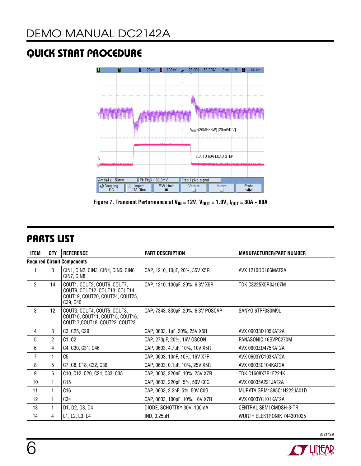

Figure 7. Transient Performance at  $V_{IN}$  = 12V,  $V_{OUT}$  = 1.0V,  $I_{OUT}$  = 30A  $\sim$  60A

# Parts List

| ITEM           | QTY                                | <b>REFERENCE</b>                                                                                             | <b>PART DESCRIPTION</b>            | <b>MANUFACTURER/PART NUMBER</b> |  |  |
|----------------|------------------------------------|--------------------------------------------------------------------------------------------------------------|------------------------------------|---------------------------------|--|--|
|                | <b>Required Circuit Components</b> |                                                                                                              |                                    |                                 |  |  |
|                | 8                                  | CIN1, CIN2, CIN3, CIN4, CIN5, CIN6,<br>CIN7, CIN8                                                            | CAP, 1210, 10µF, 20%, 35V X5R      | AVX 1210DD106MAT2A              |  |  |
| $\overline{2}$ | 14                                 | COUT1, COUT2, COUT6, COUT7,<br>COUT9, COUT12, COUT13, COUT14,<br>COUT19, COUT20, COUT24, COUT25,<br>C39, C40 | CAP, 1210, 100µF, 20%, 6.3V X5R    | TDK C3225X5R0J107M              |  |  |
| 3              | 12                                 | COUT3, COUT4, COUT5, COUT8,<br>COUT10, COUT11, COUT15, COUT16,<br>COUT17, COUT18, COUT22, COUT23             | CAP, 7343, 330µF, 20%, 6.3V POSCAP | SANYO 6TPF330M9L                |  |  |
| 4              | 3                                  | C3, C25, C29                                                                                                 | CAP, 0603, 1µF, 20%, 25V X5R       | AVX 06033D105KAT2A              |  |  |
| 5              | $\overline{2}$                     | C1, C2                                                                                                       | CAP, 270µF, 20%, 16V OSCON         | PANASONIC 16SVPC270M            |  |  |
| 6              | 4                                  | C4, C30, C31, C46                                                                                            | CAP, 0603, 4.7µF, 10%, 10V X5R     | AVX 0603ZD475KAT2A              |  |  |
| $\overline{7}$ |                                    | C <sub>5</sub>                                                                                               | CAP, 0603, 10nF, 10%, 16V X7R      | AVX 0603YC103KAT2A              |  |  |
| 8              | 5                                  | C7, C8, C18, C32, C36,                                                                                       | CAP, 0603, 0.1µF, 10%, 25V X5R     | AVX 06033C104KAT2A              |  |  |
| 9              | 6                                  | C <sub>10</sub> , C <sub>12</sub> , C <sub>20</sub> , C <sub>24</sub> , C <sub>33</sub> , C <sub>35</sub>    | CAP, 0603, 220nF, 10%, 25V X7R     | <b>TDK C1608X7R1E224K</b>       |  |  |
| 10             |                                    | C15                                                                                                          | CAP, 0603, 220pF, 5%, 50V C0G      | AVX 06035A221JAT2A              |  |  |
| 11             |                                    | C16                                                                                                          | CAP, 0603, 2.2nF, 5%, 50V C0G      | MURATA GRM1885C1H222JA01D       |  |  |
| 12             |                                    | C34                                                                                                          | CAP, 0603, 100pF, 10%, 16V X7R     | AVX 0603YC101KAT2A              |  |  |
| 13             |                                    | D1, D2, D3, D4                                                                                               | DIODE, SCHOTTKY 30V, 100mA         | CENTRAL SEMI CMDSH-3-TR         |  |  |
| 14             | 4                                  | L1, L2, L3, L4                                                                                               | IND, 0.25µH                        | WÜRTH ELEKTRONIK 744301025      |  |  |

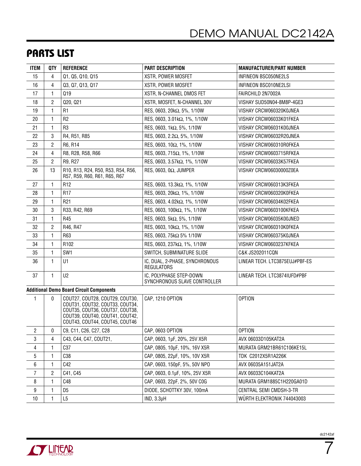### Parts List

| <b>ITEM</b>    | QTY            | <b>REFERENCE</b>                                                                                                                                                           | <b>PART DESCRIPTION</b>                                 | <b>MANUFACTURER/PART NUMBER</b> |
|----------------|----------------|----------------------------------------------------------------------------------------------------------------------------------------------------------------------------|---------------------------------------------------------|---------------------------------|
| 15             | 4              | Q1, Q5, Q10, Q15                                                                                                                                                           | XSTR, POWER MOSFET                                      | INFINEON BSC050NE2LS            |
| 16             | 4              | Q3, Q7, Q13, Q17                                                                                                                                                           | XSTR, POWER MOSFET                                      | INFINEON BSC010NE2LSI           |
| 17             | 1              | Q19                                                                                                                                                                        | XSTR, N-CHANNEL DMOS FET                                | FAIRCHILD 2N7002A               |
| 18             | $\overline{c}$ | Q20, Q21                                                                                                                                                                   | XSTR, MOSFET, N-CHANNEL 30V                             | VISHAY SUD50N04-8M8P-4GE3       |
| 19             | 1              | R <sub>1</sub>                                                                                                                                                             | RES, 0603, 20kΩ, 5%, 1/10W                              | VISHAY CRCW060320K0JNEA         |
| 20             | $\mathbf{1}$   | R <sub>2</sub>                                                                                                                                                             | RES, 0603, 3.01kΩ, 1%, 1/10W                            | VISHAY CRCW06033K01FKEA         |
| 21             | $\mathbf{1}$   | R <sub>3</sub>                                                                                                                                                             | RES, 0603, 1kΩ, 5%, 1/10W                               | VISHAY CRCW06031K00JNEA         |
| 22             | 3              | R4, R51, R85                                                                                                                                                               | RES, 0603, 2.2Ω, 5%, 1/10W                              | VISHAY CRCW06032R20JNEA         |
| 23             | $\mathbf{2}$   | R6, R14                                                                                                                                                                    | RES, 0603, 10Ω, 1%, 1/10W                               | VISHAY CRCW060310R0FKEA         |
| 24             | 4              | R8, R28, R58, R66                                                                                                                                                          | RES, 0603, 715Ω, 1%, 1/10W                              | VISHAY CRCW0603715RFKEA         |
| 25             | $\mathbf{2}$   | R9, R27                                                                                                                                                                    | RES, 0603, 3.57kΩ, 1%, 1/10W                            | VISHAY CRCW06033K57FKEA         |
| 26             | 13             | R10, R13, R24, R50, R53, R54, R56,<br>R57, R59, R60, R61, R65, R67                                                                                                         | RES, 0603, 0 $\Omega$ , JUMPER                          | VISHAY CRCW06030000Z0EA         |
| 27             | 1              | R <sub>12</sub>                                                                                                                                                            | RES, 0603, 13.3kΩ, 1%, 1/10W                            | VISHAY CRCW060313K3FKEA         |
| 28             | $\mathbf{1}$   | R <sub>17</sub>                                                                                                                                                            | RES, 0603, 20kΩ, 1%, 1/10W                              | VISHAY CRCW060320K0FKEA         |
| 29             | $\mathbf{1}$   | R <sub>21</sub>                                                                                                                                                            | RES, 0603, 4.02kΩ, 1%, 1/10W                            | VISHAY CRCW06034K02FKEA         |
| 30             | 3              | R33, R42, R69                                                                                                                                                              | RES, 0603, 100kΩ, 1%, 1/10W                             | VISHAY CRCW0603100KFKEA         |
| 31             | 1              | R45                                                                                                                                                                        | RES, 0603, 5kΩ, 5%, 1/10W                               | VISHAY CRCW06035K00JNED         |
| 32             | 2              | R46, R47                                                                                                                                                                   | RES, 0603, 10kΩ, 1%, 1/10W                              | VISHAY CRCW060310K0FKEA         |
| 33             | $\mathbf{1}$   | R63                                                                                                                                                                        | RES, 0603, 75kΩ 5% 1/10W                                | VISHAY CRCW060375K0JNEA         |
| 34             | 1              | R <sub>102</sub>                                                                                                                                                           | RES, 0603, 237kΩ, 1%, 1/10W                             | VISHAY CRCW0603237KFKEA         |
| 35             | 1              | SW1                                                                                                                                                                        | SWITCH, SUBMINATURE SLIDE                               | C&K JS202011CQN                 |
| 36             | $\mathbf{1}$   | U1                                                                                                                                                                         | IC, DUAL, 2-PHASE, SYNCHRONOUS<br><b>REGULATORS</b>     | LINEAR TECH. LTC3875EUJ#PBF-ES  |
| 37             | 1              | U <sub>2</sub>                                                                                                                                                             | IC, POLYPHASE STEP-DOWN<br>SYNCHRONOUS SLAVE CONTROLLER | LINEAR TECH. LTC3874IUFD#PBF    |
|                |                | <b>Additional Demo Board Circuit Components</b>                                                                                                                            |                                                         |                                 |
| 1              | 0              | COUT27, COUT28, COUT29, COUT30,<br>COUT31, COUT32, COUT33, COUT34,<br>COUT35, COUT36, COUT37, COUT38,<br>COUT39, COUT40, COUT41, COUT42,<br>COUT43, COUT44, COUT45, COUT46 | CAP, 1210 OPTION                                        | <b>OPTION</b>                   |
| $\overline{c}$ | 0              | C9, C11, C26, C27, C28                                                                                                                                                     | CAP, 0603 OPTION                                        | <b>OPTION</b>                   |
| 3              | 4              | C43, C44, C47, COUT21,                                                                                                                                                     | CAP, 0603, 1µF, 20%, 25V X5R                            | AVX 06033D105KAT2A              |
| $\overline{4}$ | $\mathbf{1}$   | C37                                                                                                                                                                        | CAP, 0805, 10µF, 10%, 16V X5R                           | MURATA GRM21BR61C106KE15L       |
| 5              | $\mathbf{1}$   | C38                                                                                                                                                                        | CAP, 0805, 22µF, 10%, 10V X5R                           | TDK C2012X5R1A226K              |
| 6              | 1              | C42                                                                                                                                                                        | CAP, 0603, 150pF, 5%, 50V NPO                           | AVX 06035A151JAT2A              |
| $\overline{7}$ | 2              | C41, C45                                                                                                                                                                   | CAP, 0603, 0.1µF, 10%, 25V X5R                          | AVX 06033C104KAT2A              |
| 8              | $\mathbf{1}$   | C48                                                                                                                                                                        | CAP, 0603, 22pF, 2%, 50V COG                            | MURATA GRM1885C1H220GA01D       |
| 9              | 1              | D <sub>5</sub>                                                                                                                                                             | DIODE, SCHOTTKY 30V, 100mA                              | CENTRAL SEMI CMDSH-3-TR         |
| 10             | 1              | L <sub>5</sub>                                                                                                                                                             | $IND, 3.3\mu H$                                         | WÜRTH ELEKTRONIK 744043003      |

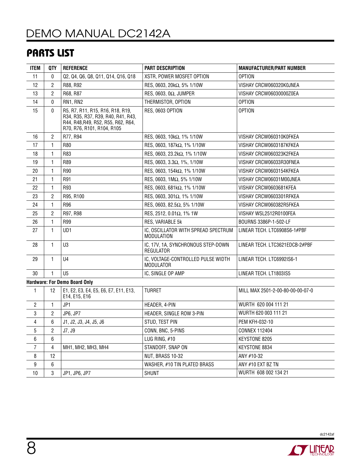## Parts List

| ITEM             | QTY                                  | <b>REFERENCE</b>                                                                                                                           | <b>PART DESCRIPTION</b>                                  | <b>MANUFACTURER/PART NUMBER</b>  |  |
|------------------|--------------------------------------|--------------------------------------------------------------------------------------------------------------------------------------------|----------------------------------------------------------|----------------------------------|--|
| 11               | 0                                    | Q2, Q4, Q6, Q8, Q11, Q14, Q16, Q18                                                                                                         | XSTR, POWER MOSFET OPTION                                | <b>OPTION</b>                    |  |
| 12               | 2                                    | R88, R92                                                                                                                                   | RES, 0603, 20kΩ, 5% 1/10W                                | VISHAY CRCW060320K0JNEA          |  |
| 13               | $\overline{c}$                       | R68, R87                                                                                                                                   | RES, 0603, 0 $\Omega$ , JUMPER                           | VISHAY CRCW06030000Z0EA          |  |
| 14               | 0                                    | RN1, RN2                                                                                                                                   | THERMISTOR, OPTION                                       | <b>OPTION</b>                    |  |
| 15               | 0                                    | R5, R7, R11, R15, R16, R18, R19,<br>R34, R35, R37, R39, R40, R41, R43,<br>R44, R48, R49, R52, R55, R62, R64,<br>R70, R76, R101, R104, R105 | RES, 0603 OPTION                                         | <b>OPTION</b>                    |  |
| 16               | $\overline{c}$                       | R77, R94                                                                                                                                   | RES, 0603, 10kΩ, 1% 1/10W                                | VISHAY CRCW060310K0FKEA          |  |
| 17               | 1                                    | R80                                                                                                                                        | RES, 0603, 187kΩ, 1% 1/10W                               | VISHAY CRCW0603187KFKEA          |  |
| 18               | 1                                    | R83                                                                                                                                        | RES, 0603, 23.2kΩ, 1% 1/10W                              | VISHAY CRCW060323K2FKEA          |  |
| 19               | 1                                    | R89                                                                                                                                        | RES, 0603, 3.3Ω, 1%, 1/10W                               | VISHAY CRCW06033R30FNEA          |  |
| 20               | 1                                    | R90                                                                                                                                        | RES, 0603, 154kΩ, 1% 1/10W                               | VISHAY CRCW0603154KFKEA          |  |
| 21               | 1                                    | R91                                                                                                                                        | RES, 0603, 1ΜΩ, 5% 1/10W                                 | VISHAY CRCW06031M00JNEA          |  |
| 22               | 1                                    | R93                                                                                                                                        | RES, 0603, 681kΩ, 1% 1/10W                               | VISHAY CRCW0603681KFEA           |  |
| 23               | $\overline{c}$                       | R95, R100                                                                                                                                  | RES, 0603, 301Ω, 1% 1/10W                                | VISHAY CRCW0603301RFKEA          |  |
| 24               | $\mathbf{1}$                         | R96                                                                                                                                        | RES, 0603, 82.5Ω, 5% 1/10W                               | VISHAY CRCW060382R5FKEA          |  |
| 25               | $\overline{c}$                       | R97, R98                                                                                                                                   | RES, 2512, 0.01Ω, 1% 1W                                  | VISHAY WSL2512R0100FEA           |  |
| 26               | 1                                    | R99                                                                                                                                        | RES, VARIABLE 5k                                         | BOURNS 3386P-1-502-LF            |  |
| 27               | 1                                    | UD <sub>1</sub>                                                                                                                            | IC, OSCILLATOR WITH SPREAD SPECTRUM<br><b>MODULATION</b> | LINEAR TECH. LTC6908S6-1#PBF     |  |
| 28               | $\mathbf{1}$                         | U3                                                                                                                                         | IC, 17V, 1A, SYNCHRONOUS STEP-DOWN<br>REGULATOR          | LINEAR TECH. LTC3621EDCB-2#PBF   |  |
| 29               | $\mathbf{1}$                         | U <sub>4</sub>                                                                                                                             | IC, VOLTAGE-CONTROLLED PULSE WIDTH<br><b>MODULATOR</b>   | LINEAR TECH. LTC6992IS6-1        |  |
| 30               | $\mathbf{1}$                         | U <sub>5</sub>                                                                                                                             | IC, SINGLE OP AMP                                        | LINEAR TECH. LT1803IS5           |  |
|                  | <b>Hardware: For Demo Board Only</b> |                                                                                                                                            |                                                          |                                  |  |
| $\mathbf{1}$     | 12                                   | E1, E2, E3, E4, E5, E6, E7, E11, E13,<br>E14, E15, E16                                                                                     | <b>TURRET</b>                                            | MILL MAX 2501-2-00-80-00-00-07-0 |  |
| $\overline{2}$   | 1                                    | JP1                                                                                                                                        | HEADER, 4-PIN                                            | WURTH 620 004 111 21             |  |
| 3                | $\overline{2}$                       | JP6, JP7                                                                                                                                   | HEADER, SINGLE ROW 3-PIN                                 | WURTH 620 003 111 21             |  |
| $\overline{4}$   | 6                                    | J1, J2, J3, J4, J5, J6                                                                                                                     | STUD, TEST PIN                                           | PEM KFH-032-10                   |  |
| 5                | 2                                    | J7, J9                                                                                                                                     | CONN, BNC, 5-PINS                                        | <b>CONNEX 112404</b>             |  |
| 6                | 6                                    |                                                                                                                                            | LUG RING, #10                                            | KEYSTONE 8205                    |  |
| $\overline{7}$   | 4                                    | MH1, MH2, MH3, MH4                                                                                                                         | STANDOFF, SNAP ON                                        | KEYSTONE 8834                    |  |
| 8                | 12                                   |                                                                                                                                            | NUT, BRASS 10-32                                         | ANY #10-32                       |  |
| $\boldsymbol{9}$ | 6                                    |                                                                                                                                            | WASHER, #10 TIN PLATED BRASS                             | ANY #10 EXT BZ TN                |  |
| 10               | 3                                    | JP1, JP6, JP7                                                                                                                              | <b>SHUNT</b>                                             | WURTH 608 002 134 21             |  |
|                  |                                      |                                                                                                                                            |                                                          |                                  |  |

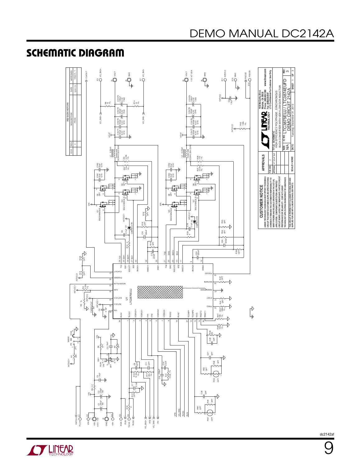# SCHEMATIC DIAGRAM





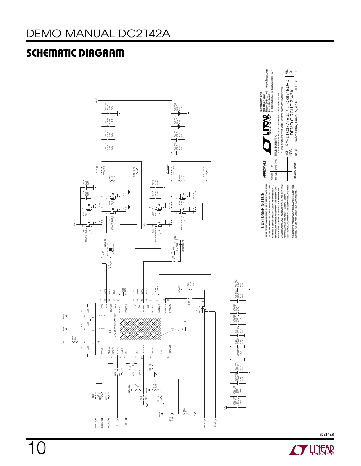# SCHEMATIC DIAGRAM



**STARTED BY A LIMITARY**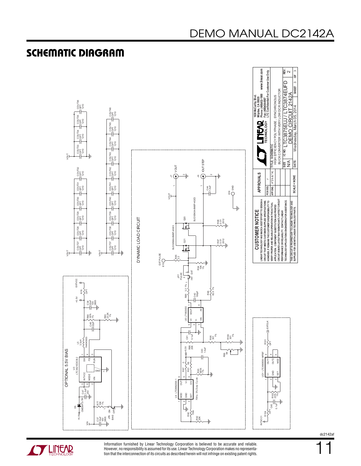

#### SCHEMATIC DIAGRAM

# DEMO MANUAL DC2142A

**STARTE LINEAR** 

Information furnished by Linear Technology Corporation is believed to be accurate and reliable. However, no responsibility is assumed for its use. Linear Technology Corporation makes no representation that the interconnection of its circuits as described herein will not infringe on existing patent rights. dc2142af